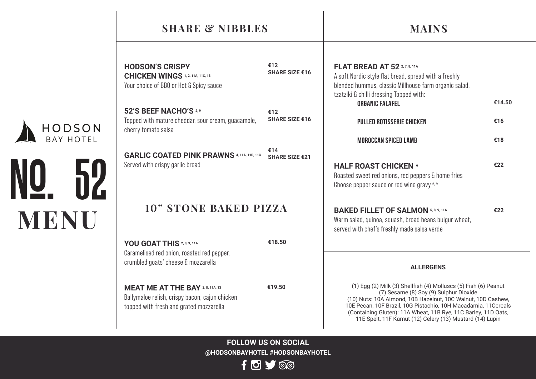### **SHARE & NIBBLES**

## **MAINS**

**HODSON'S CRISPY CHICKEN WINGS 1, 2, 11A, 11C, 13** Your choice of BBQ or Hot & Spicy sauce

**52'S BEEF NACHO'S 2,9** Topped with mature cheddar, sour cream, guacamole, cherry tomato salsa

**GARLIC COATED PINK PRAWNS 4, 11A, 11B, 11C**  Served with crispy garlic bread

**€14 SHARE SIZE €21**

**SHARE SIZE €16**

**SHARE SIZE €16**

**€12** 

**€12** 

#### **10" STONE BAKED PIZZA**

**YOU GOAT THIS 2, 8, 9, 11A** Caramelised red onion, roasted red pepper, crumbled goats' cheese & mozzarella

**MENU**

No. 52

BAY HOTEL HODSON

> **MEAT ME AT THE BAY 2, 8, 11A, 13** Ballymaloe relish, crispy bacon, cajun chicken topped with fresh and grated mozzarella

**€19.50**

**€18.50**

| <b>FLAT BREAD AT 52 2, 7, 8, 11A</b>                                                                                                                      |        |
|-----------------------------------------------------------------------------------------------------------------------------------------------------------|--------|
| A soft Nordic style flat bread, spread with a freshly<br>blended hummus, classic Millhouse farm organic salad,<br>tzatziki & chilli dressing Topped with: |        |
| <b>ORGANIC FALAFEL</b>                                                                                                                                    | €14.50 |
| <b>PULLED ROTISSERIE CHICKEN</b>                                                                                                                          | €16    |
| <b>MOROCCAN SPICED LAMB</b>                                                                                                                               | €18    |
| <b>HALF ROAST CHICKEN 9</b><br>Roasted sweet red onions, red peppers & home fries<br>Choose pepper sauce or red wine gravy 2,9                            | €22    |
| <b>BAKED FILLET OF SALMON 5, 8, 9, 11A</b>                                                                                                                | €22    |

Warm salad, quinoa, squash, broad beans bulgur wheat, served with chef's freshly made salsa verde

#### **ALLERGENS**

(1) Egg (2) Milk (3) Shellfish (4) Molluscs (5) Fish (6) Peanut (7) Sesame (8) Soy (9) Sulphur Dioxide (10) Nuts: 10A Almond, 10B Hazelnut, 10C Walnut, 10D Cashew, 10E Pecan, 10F Brazil, 10G Pistachio, 10H Macadamia, 11Cereals (Containing Gluten): 11A Wheat, 11B Rye, 11C Barley, 11D Oats, 11E Spelt, 11F Kamut (12) Celery (13) Mustard (14) Lupin

**FOLLOW US ON SOCIAL @HODSONBAYHOTEL #HODSONBAYHOTEL**

 $f \circ f$